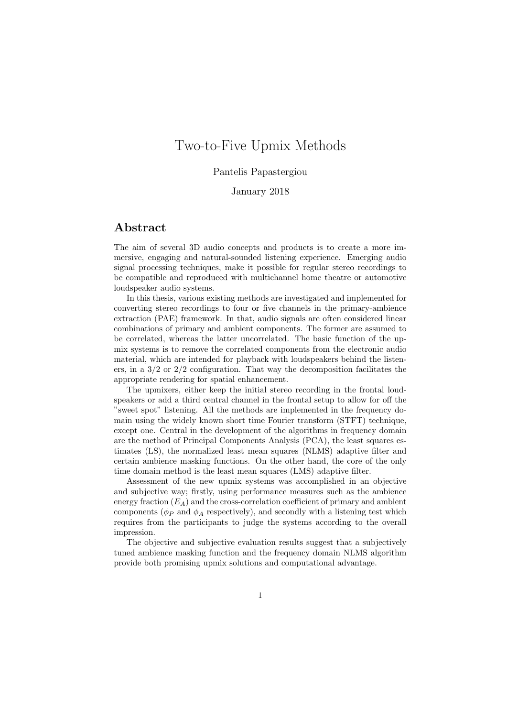## Two-to-Five Upmix Methods

## Pantelis Papastergiou

## January 2018

## Abstract

The aim of several 3D audio concepts and products is to create a more immersive, engaging and natural-sounded listening experience. Emerging audio signal processing techniques, make it possible for regular stereo recordings to be compatible and reproduced with multichannel home theatre or automotive loudspeaker audio systems.

In this thesis, various existing methods are investigated and implemented for converting stereo recordings to four or five channels in the primary-ambience extraction (PAE) framework. In that, audio signals are often considered linear combinations of primary and ambient components. The former are assumed to be correlated, whereas the latter uncorrelated. The basic function of the upmix systems is to remove the correlated components from the electronic audio material, which are intended for playback with loudspeakers behind the listeners, in a  $3/2$  or  $2/2$  configuration. That way the decomposition facilitates the appropriate rendering for spatial enhancement.

The upmixers, either keep the initial stereo recording in the frontal loudspeakers or add a third central channel in the frontal setup to allow for off the "sweet spot" listening. All the methods are implemented in the frequency domain using the widely known short time Fourier transform (STFT) technique, except one. Central in the development of the algorithms in frequency domain are the method of Principal Components Analysis (PCA), the least squares estimates (LS), the normalized least mean squares (NLMS) adaptive filter and certain ambience masking functions. On the other hand, the core of the only time domain method is the least mean squares (LMS) adaptive filter.

Assessment of the new upmix systems was accomplished in an objective and subjective way; firstly, using performance measures such as the ambience energy fraction  $(E_A)$  and the cross-correlation coefficient of primary and ambient components ( $\phi_P$  and  $\phi_A$  respectively), and secondly with a listening test which requires from the participants to judge the systems according to the overall impression.

The objective and subjective evaluation results suggest that a subjectively tuned ambience masking function and the frequency domain NLMS algorithm provide both promising upmix solutions and computational advantage.